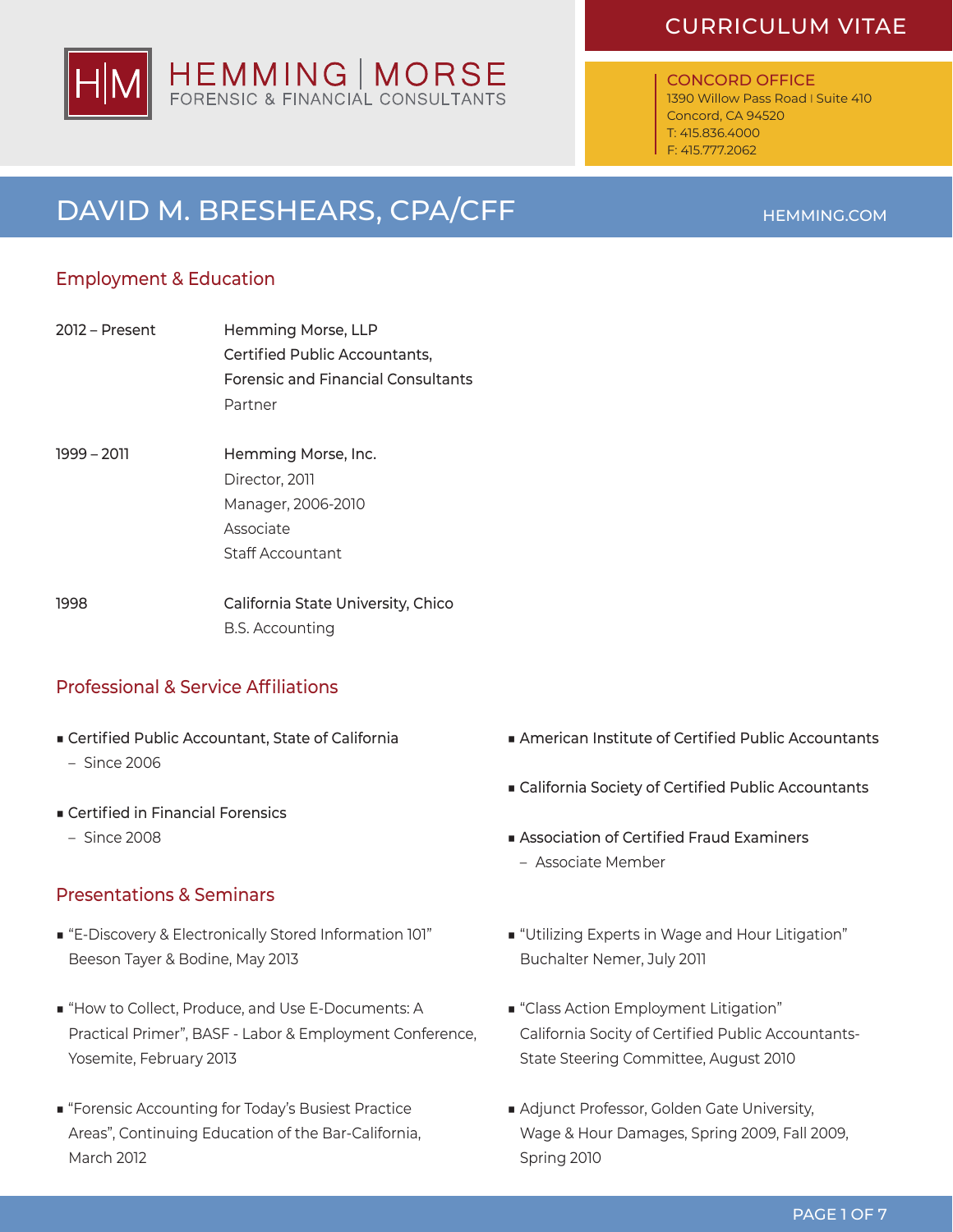# HEMMING | MORSE

### CURRICULUM VITAE

#### CONCORD OFFICE

1390 Willow Pass Road I Suite 410 Concord, CA 94520 T: 415.836.4000 F: 415.777.2062

## DAVID M. BRESHEARS, CPA/CFF

### Employment & Education

- 2012 Present Hemming Morse, LLP Certified Public Accountants, Forensic and Financial Consultants Partner
- 1999 2011 Hemming Morse, Inc. Director, 2011 Manager, 2006-2010 Associate Staff Accountant

1998 California State University, Chico B.S. Accounting

### Professional & Service Affiliations

- Certified Public Accountant, State of California
	- Since 2006
- Certified in Financial Forensics
- Since 2008

### Presentations & Seminars

- "E-Discovery & Electronically Stored Information 101" Beeson Tayer & Bodine, May 2013
- "How to Collect, Produce, and Use E-Documents: A Practical Primer", BASF - Labor & Employment Conference, Yosemite, February 2013
- "Forensic Accounting for Today's Busiest Practice Areas", Continuing Education of the Bar-California, March 2012
- American Institute of Certified Public Accountants
- California Society of Certified Public Accountants
- Association of Certified Fraud Examiners – Associate Member
- "Utilizing Experts in Wage and Hour Litigation" Buchalter Nemer, July 2011
- "Class Action Employment Litigation" California Socity of Certified Public Accountants-State Steering Committee, August 2010
- Adjunct Professor, Golden Gate University, Wage & Hour Damages, Spring 2009, Fall 2009, Spring 2010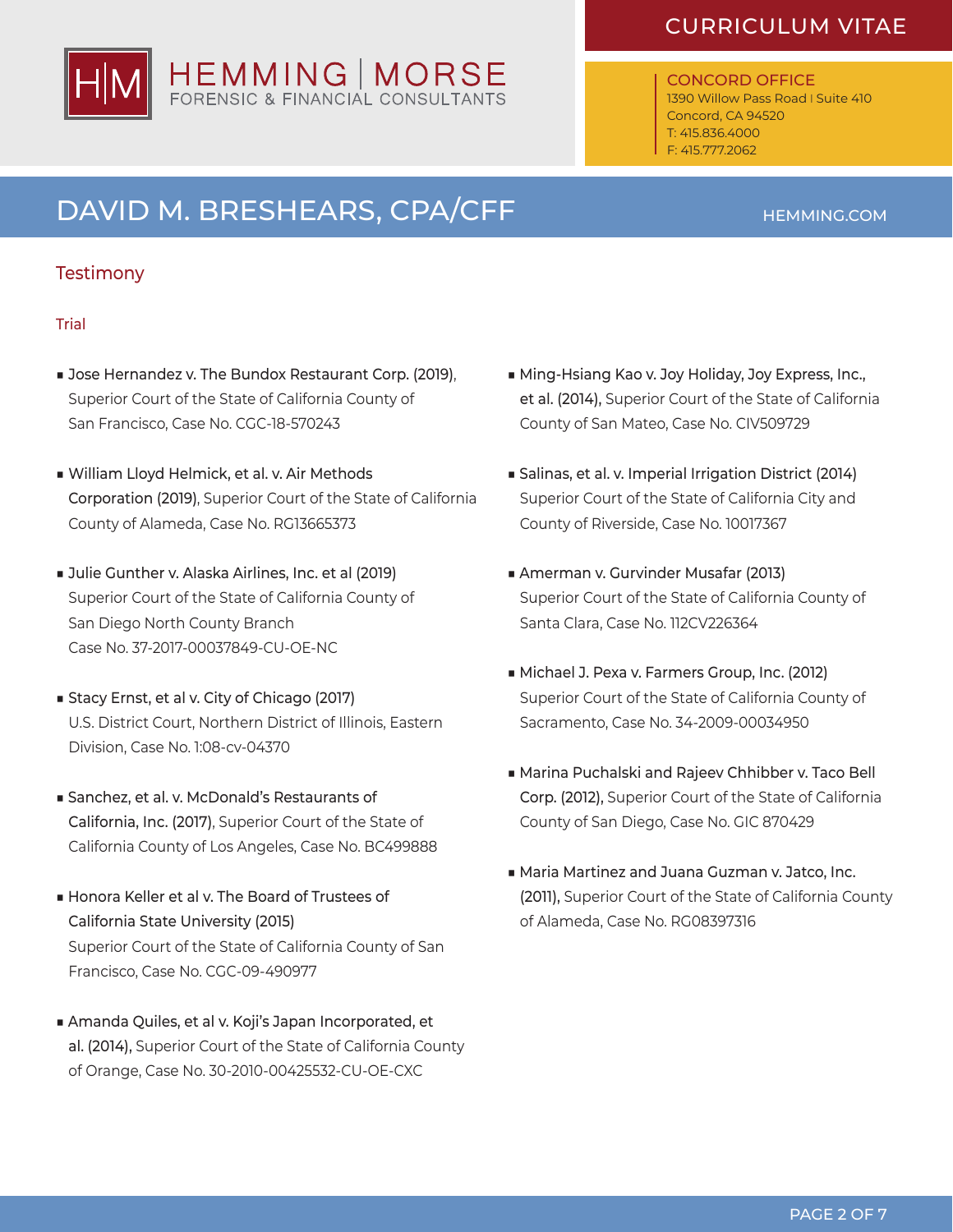### CURRICULUM VITAE

### CONCORD OFFICE

1390 Willow Pass Road I Suite 410 Concord, CA 94520 T: 415.836.4000 F: 415.777.2062

## DAVID M. BRESHEARS, CPA/CFF

### **Testimony**

### **Trial**

- Jose Hernandez v. The Bundox Restaurant Corp. (2019), Superior Court of the State of California County of San Francisco, Case No. CGC-18-570243
- ■ William Lloyd Helmick, et al. v. Air Methods Corporation (2019), Superior Court of the State of California County of Alameda, Case No. RG13665373
- Julie Gunther v. Alaska Airlines, Inc. et al (2019) Superior Court of the State of California County of San Diego North County Branch Case No. 37-2017-00037849-CU-OE-NC
- Stacy Ernst, et al v. City of Chicago (2017) U.S. District Court, Northern District of Illinois, Eastern Division, Case No. 1:08-cv-04370
- Sanchez, et al. v. McDonald's Restaurants of California, Inc. (2017), Superior Court of the State of California County of Los Angeles, Case No. BC499888
- Honora Keller et al v. The Board of Trustees of California State University (2015) Superior Court of the State of California County of San Francisco, Case No. CGC-09-490977
- Amanda Quiles, et al v. Koji's Japan Incorporated, et al. (2014), Superior Court of the State of California County of Orange, Case No. 30-2010-00425532-CU-OE-CXC
- Ming-Hsiang Kao v. Joy Holiday, Joy Express, Inc., et al. (2014), Superior Court of the State of California County of San Mateo, Case No. CIV509729
- Salinas, et al. v. Imperial Irrigation District (2014) Superior Court of the State of California City and County of Riverside, Case No. 10017367
- Amerman v. Gurvinder Musafar (2013) Superior Court of the State of California County of Santa Clara, Case No. 112CV226364
- Michael J. Pexa v. Farmers Group, Inc. (2012) Superior Court of the State of California County of Sacramento, Case No. 34-2009-00034950
- Marina Puchalski and Rajeev Chhibber v. Taco Bell Corp. (2012), Superior Court of the State of California County of San Diego, Case No. GIC 870429
- Maria Martinez and Juana Guzman v. Jatco, Inc. (2011), Superior Court of the State of California County of Alameda, Case No. RG08397316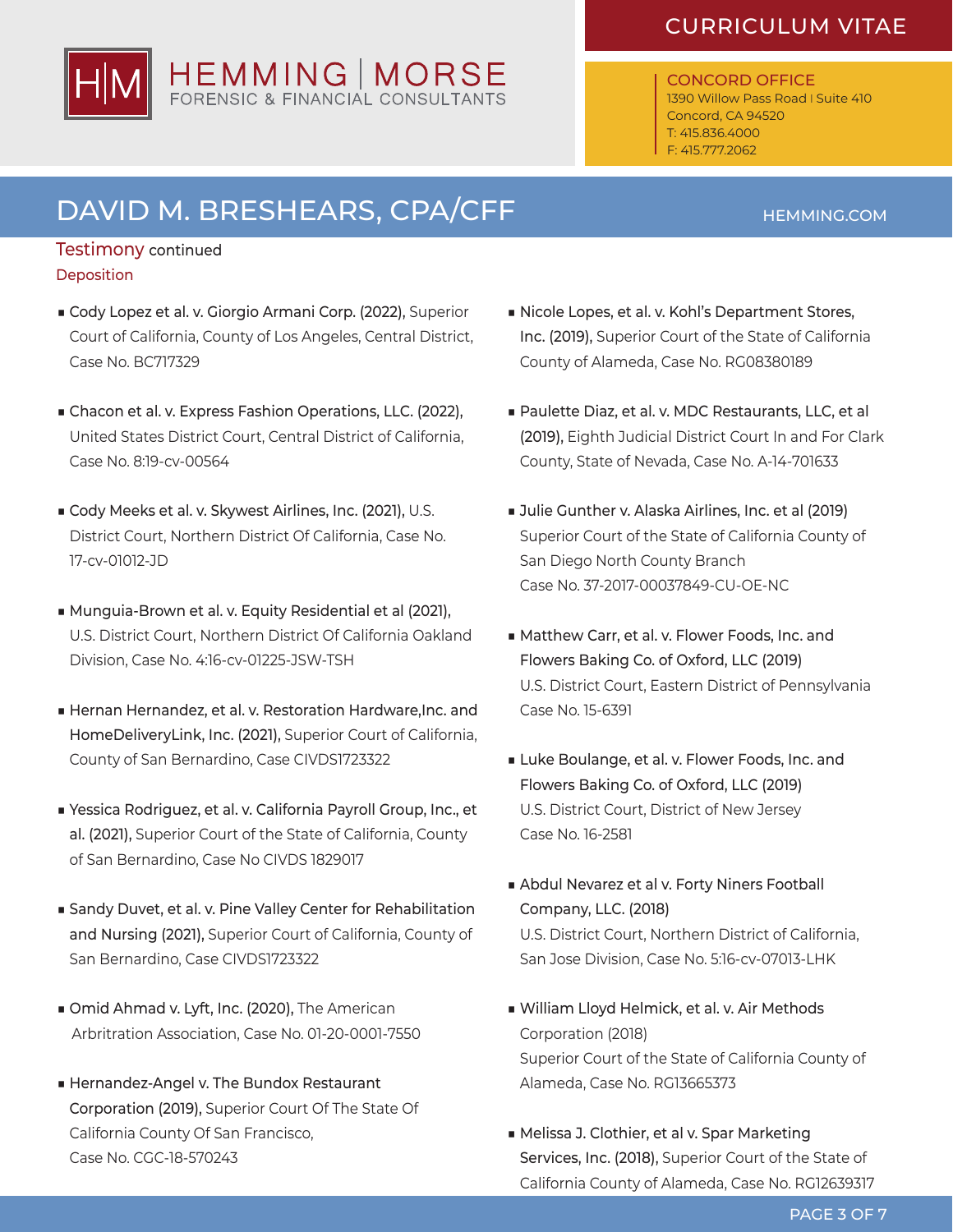### CURRICULUM VITAE

#### CONCORD OFFICE 1390 Willow Pass Road I Suite 410 Concord, CA 94520

T: 415.836.4000 F: 415.777.2062

## DAVID M. BRESHEARS, CPA/CFF

### Testimony continued **Deposition**

- Cody Lopez et al. v. Giorgio Armani Corp. (2022), Superior Court of California, County of Los Angeles, Central District, Case No. BC717329
- Chacon et al. v. Express Fashion Operations, LLC. (2022), United States District Court, Central District of California, Case No. 8:19-cv-00564
- Cody Meeks et al. v. Skywest Airlines, Inc. (2021), U.S. District Court, Northern District Of California, Case No. 17-cv-01012-JD
- Munguia-Brown et al. v. Equity Residential et al (2021), U.S. District Court, Northern District Of California Oakland Division, Case No. 4:16-cv-01225-JSW-TSH
- Hernan Hernandez, et al. v. Restoration Hardware, Inc. and HomeDeliveryLink, Inc. (2021), Superior Court of California, County of San Bernardino, Case CIVDS1723322
- Yessica Rodriguez, et al. v. California Payroll Group, Inc., et al. (2021), Superior Court of the State of California, County of San Bernardino, Case No CIVDS 1829017
- Sandy Duvet, et al. v. Pine Valley Center for Rehabilitation and Nursing (2021), Superior Court of California, County of San Bernardino, Case CIVDS1723322
- Omid Ahmad v. Lyft, Inc. (2020), The American Arbritration Association, Case No. 01-20-0001-7550
- Hernandez-Angel v. The Bundox Restaurant Corporation (2019), Superior Court Of The State Of California County Of San Francisco, Case No. CGC-18-570243
- Nicole Lopes, et al. v. Kohl's Department Stores, Inc. (2019), Superior Court of the State of California County of Alameda, Case No. RG08380189
- Paulette Diaz, et al. v. MDC Restaurants, LLC, et al (2019), Eighth Judicial District Court In and For Clark County, State of Nevada, Case No. A-14-701633
- Julie Gunther v. Alaska Airlines, Inc. et al (2019) Superior Court of the State of California County of San Diego North County Branch Case No. 37-2017-00037849-CU-OE-NC
- Matthew Carr, et al. v. Flower Foods, Inc. and Flowers Baking Co. of Oxford, LLC (2019) U.S. District Court, Eastern District of Pennsylvania Case No. 15-6391
- Luke Boulange, et al. v. Flower Foods, Inc. and Flowers Baking Co. of Oxford, LLC (2019) U.S. District Court, District of New Jersey Case No. 16-2581
- Abdul Nevarez et al v. Forty Niners Football Company, LLC. (2018) U.S. District Court, Northern District of California, San Jose Division, Case No. 5:16-cv-07013-LHK
- ■ William Lloyd Helmick, et al. v. Air Methods Corporation (2018) Superior Court of the State of California County of Alameda, Case No. RG13665373
- Melissa J. Clothier, et al v. Spar Marketing Services, Inc. (2018), Superior Court of the State of California County of Alameda, Case No. RG12639317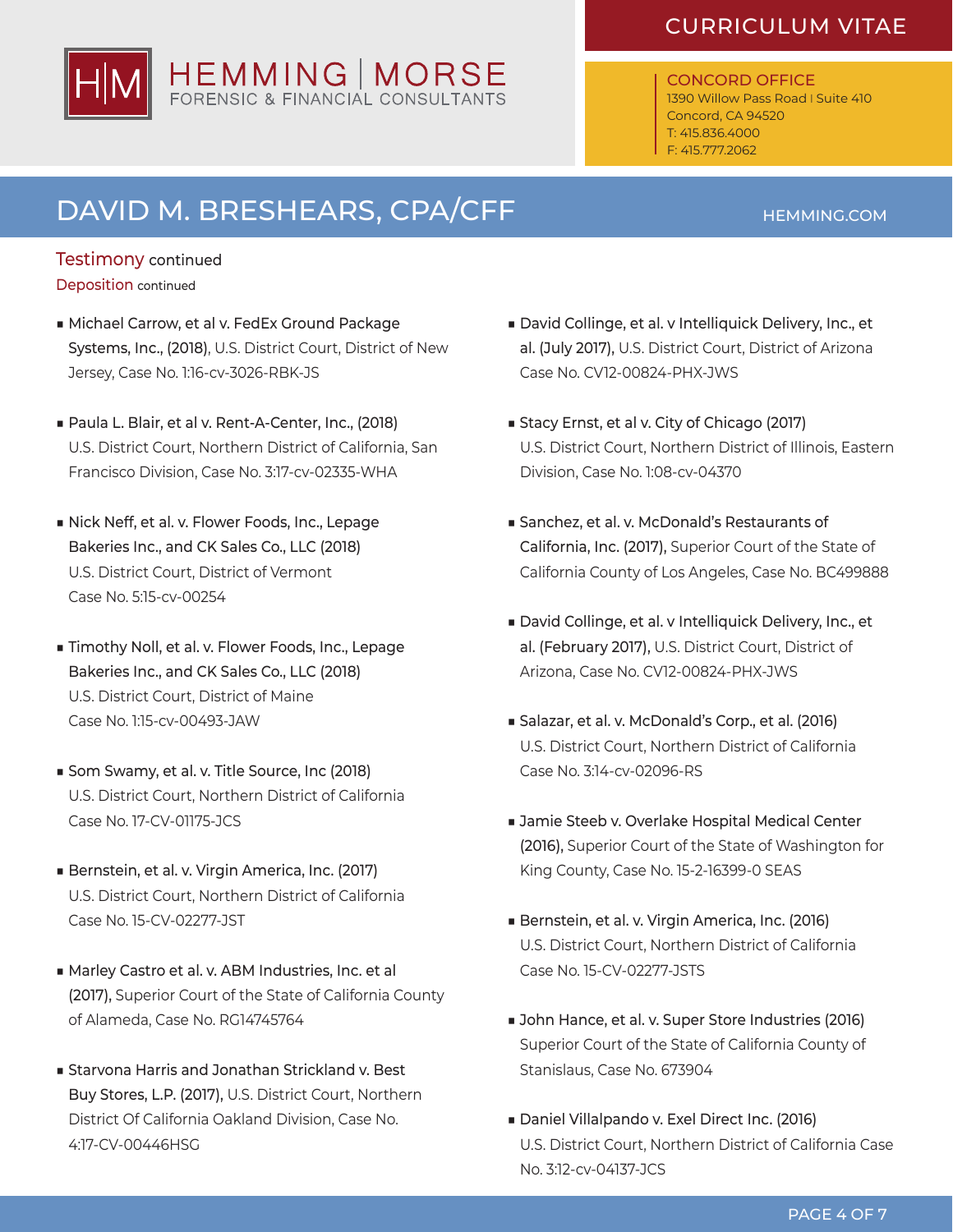### CURRICULUM VITAE

#### CONCORD OFFICE 1390 Willow Pass Road I Suite 410 Concord, CA 94520

T: 415.836.4000 F: 415.777.2062

# DAVID M. BRESHEARS, CPA/CFF

### Testimony continued

- Deposition continued
- Michael Carrow, et al v. FedEx Ground Package Systems, Inc., (2018), U.S. District Court, District of New Jersey, Case No. 1:16-cv-3026-RBK-JS
- Paula L. Blair, et al v. Rent-A-Center, Inc., (2018) U.S. District Court, Northern District of California, San Francisco Division, Case No. 3:17-cv-02335-WHA
- Nick Neff, et al. v. Flower Foods, Inc., Lepage Bakeries Inc., and CK Sales Co., LLC (2018) U.S. District Court, District of Vermont Case No. 5:15-cv-00254
- Timothy Noll, et al. v. Flower Foods, Inc., Lepage Bakeries Inc., and CK Sales Co., LLC (2018) U.S. District Court, District of Maine Case No. 1:15-cv-00493-JAW
- Som Swamy, et al. v. Title Source, Inc (2018) U.S. District Court, Northern District of California Case No. 17-CV-01175-JCS
- Bernstein, et al. v. Virgin America, Inc. (2017) U.S. District Court, Northern District of California Case No. 15-CV-02277-JST
- Marley Castro et al. v. ABM Industries, Inc. et al (2017), Superior Court of the State of California County of Alameda, Case No. RG14745764
- Starvona Harris and Jonathan Strickland v. Best Buy Stores, L.P. (2017), U.S. District Court, Northern District Of California Oakland Division, Case No. 4:17-CV-00446HSG
- David Collinge, et al. v Intelliquick Delivery, Inc., et al. (July 2017), U.S. District Court, District of Arizona Case No. CV12-00824-PHX-JWS
- Stacy Ernst, et al v. City of Chicago (2017) U.S. District Court, Northern District of Illinois, Eastern Division, Case No. 1:08-cv-04370
- Sanchez, et al. v. McDonald's Restaurants of California, Inc. (2017), Superior Court of the State of California County of Los Angeles, Case No. BC499888
- David Collinge, et al. v Intelliquick Delivery, Inc., et al. (February 2017), U.S. District Court, District of Arizona, Case No. CV12-00824-PHX-JWS
- Salazar, et al. v. McDonald's Corp., et al. (2016) U.S. District Court, Northern District of California Case No. 3:14-cv-02096-RS
- Jamie Steeb v. Overlake Hospital Medical Center (2016), Superior Court of the State of Washington for King County, Case No. 15-2-16399-0 SEAS
- Bernstein, et al. v. Virgin America, Inc. (2016) U.S. District Court, Northern District of California Case No. 15-CV-02277-JSTS
- John Hance, et al. v. Super Store Industries (2016) Superior Court of the State of California County of Stanislaus, Case No. 673904
- Daniel Villalpando v. Exel Direct Inc. (2016) U.S. District Court, Northern District of California Case No. 3:12-cv-04137-JCS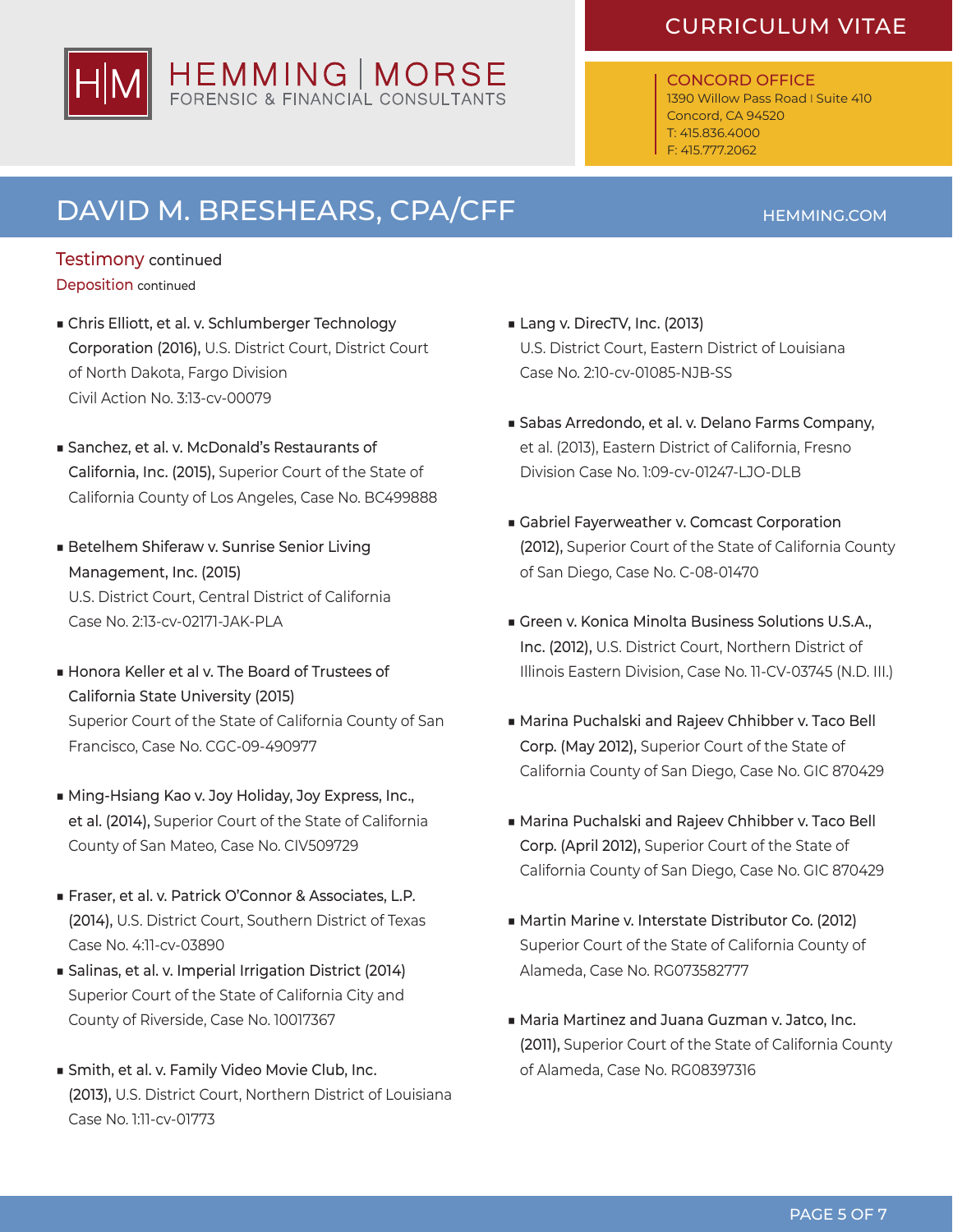### CURRICULUM VITAE

#### CONCORD OFFICE 1390 Willow Pass Road I Suite 410 Concord, CA 94520

T: 415.836.4000 F: 415.777.2062

# DAVID M. BRESHEARS, CPA/CFF

### Testimony continued Deposition continued

- Chris Elliott, et al. v. Schlumberger Technology Corporation (2016), U.S. District Court, District Court of North Dakota, Fargo Division Civil Action No. 3:13-cv-00079
- Sanchez, et al. v. McDonald's Restaurants of California, Inc. (2015), Superior Court of the State of California County of Los Angeles, Case No. BC499888
- Betelhem Shiferaw v. Sunrise Senior Living Management, Inc. (2015) U.S. District Court, Central District of California Case No. 2:13-cv-02171-JAK-PLA
- Honora Keller et al v. The Board of Trustees of California State University (2015) Superior Court of the State of California County of San Francisco, Case No. CGC-09-490977
- Ming-Hsiang Kao v. Joy Holiday, Joy Express, Inc., et al. (2014), Superior Court of the State of California County of San Mateo, Case No. CIV509729
- Fraser, et al. v. Patrick O'Connor & Associates, L.P. (2014), U.S. District Court, Southern District of Texas Case No. 4:11-cv-03890
- Salinas, et al. v. Imperial Irrigation District (2014) Superior Court of the State of California City and County of Riverside, Case No. 10017367
- Smith, et al. v. Family Video Movie Club, Inc. (2013), U.S. District Court, Northern District of Louisiana Case No. 1:11-cv-01773
- Lang v. DirecTV, Inc. (2013) U.S. District Court, Eastern District of Louisiana Case No. 2:10-cv-01085-NJB-SS
- Sabas Arredondo, et al. v. Delano Farms Company, et al. (2013), Eastern District of California, Fresno Division Case No. 1:09-cv-01247-LJO-DLB
- Gabriel Fayerweather v. Comcast Corporation (2012), Superior Court of the State of California County of San Diego, Case No. C-08-01470
- Green v. Konica Minolta Business Solutions U.S.A., Inc. (2012), U.S. District Court, Northern District of Illinois Eastern Division, Case No. 11-CV-03745 (N.D. III.)
- Marina Puchalski and Rajeev Chhibber v. Taco Bell Corp. (May 2012), Superior Court of the State of California County of San Diego, Case No. GIC 870429
- Marina Puchalski and Rajeev Chhibber v. Taco Bell Corp. (April 2012), Superior Court of the State of California County of San Diego, Case No. GIC 870429
- Martin Marine v. Interstate Distributor Co. (2012) Superior Court of the State of California County of Alameda, Case No. RG073582777
- Maria Martinez and Juana Guzman v. Jatco, Inc. (2011), Superior Court of the State of California County of Alameda, Case No. RG08397316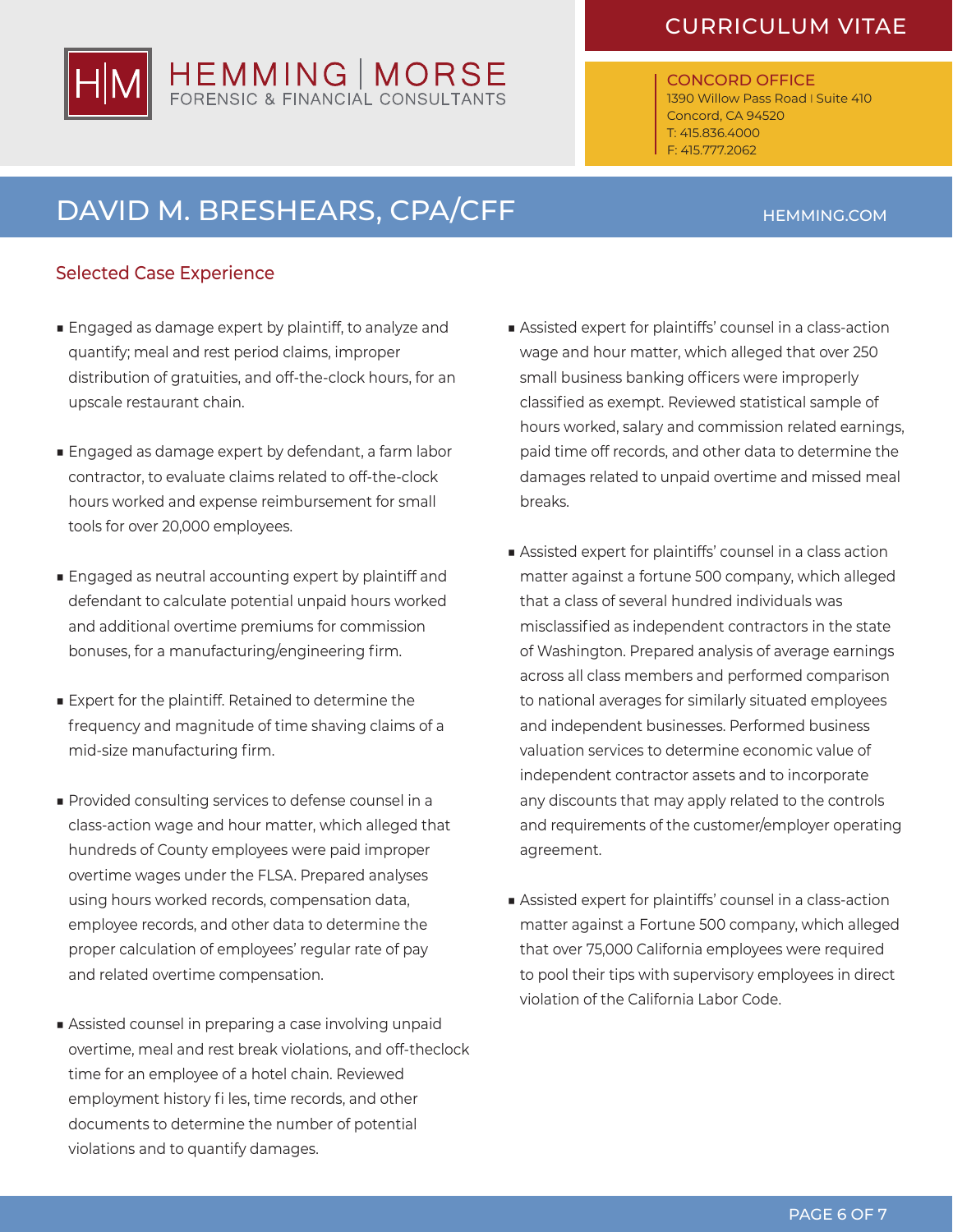### CURRICULUM VITAE

### CONCORD OFFICE

1390 Willow Pass Road I Suite 410 Concord, CA 94520 T: 415.836.4000 F: 415.777.2062

## DAVID M. BRESHEARS, CPA/CFF

### Selected Case Experience

- Engaged as damage expert by plaintiff, to analyze and quantify; meal and rest period claims, improper distribution of gratuities, and off-the-clock hours, for an upscale restaurant chain.
- Engaged as damage expert by defendant, a farm labor contractor, to evaluate claims related to off-the-clock hours worked and expense reimbursement for small tools for over 20,000 employees.
- Engaged as neutral accounting expert by plaintiff and defendant to calculate potential unpaid hours worked and additional overtime premiums for commission bonuses, for a manufacturing/engineering firm.
- Expert for the plaintiff. Retained to determine the frequency and magnitude of time shaving claims of a mid-size manufacturing firm.
- Provided consulting services to defense counsel in a class-action wage and hour matter, which alleged that hundreds of County employees were paid improper overtime wages under the FLSA. Prepared analyses using hours worked records, compensation data, employee records, and other data to determine the proper calculation of employees' regular rate of pay and related overtime compensation.
- Assisted counsel in preparing a case involving unpaid overtime, meal and rest break violations, and off-theclock time for an employee of a hotel chain. Reviewed employment history fi les, time records, and other documents to determine the number of potential violations and to quantify damages.
- Assisted expert for plaintiffs' counsel in a class-action wage and hour matter, which alleged that over 250 small business banking officers were improperly classified as exempt. Reviewed statistical sample of hours worked, salary and commission related earnings, paid time off records, and other data to determine the damages related to unpaid overtime and missed meal breaks.
- Assisted expert for plaintiffs' counsel in a class action matter against a fortune 500 company, which alleged that a class of several hundred individuals was misclassified as independent contractors in the state of Washington. Prepared analysis of average earnings across all class members and performed comparison to national averages for similarly situated employees and independent businesses. Performed business valuation services to determine economic value of independent contractor assets and to incorporate any discounts that may apply related to the controls and requirements of the customer/employer operating agreement.
- Assisted expert for plaintiffs' counsel in a class-action matter against a Fortune 500 company, which alleged that over 75,000 California employees were required to pool their tips with supervisory employees in direct violation of the California Labor Code.